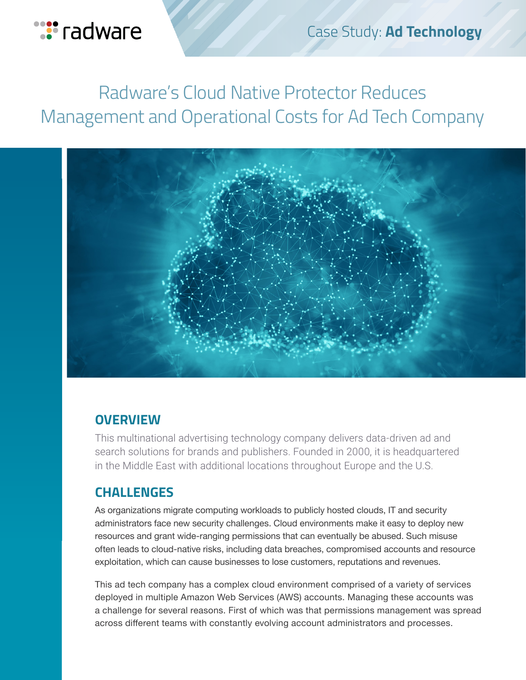

# Radware's Cloud Native Protector Reduces Management and Operational Costs for Ad Tech Company



### **OVERVIEW**

This multinational advertising technology company delivers data-driven ad and search solutions for brands and publishers. Founded in 2000, it is headquartered in the Middle East with additional locations throughout Europe and the U.S.

### **CHALLENGES**

As organizations migrate computing workloads to publicly hosted clouds, IT and security administrators face new security challenges. Cloud environments make it easy to deploy new resources and grant wide-ranging permissions that can eventually be abused. Such misuse often leads to cloud-native risks, including data breaches, compromised accounts and resource exploitation, which can cause businesses to lose customers, reputations and revenues.

This ad tech company has a complex cloud environment comprised of a variety of services deployed in multiple Amazon Web Services (AWS) accounts. Managing these accounts was a challenge for several reasons. First of which was that permissions management was spread across different teams with constantly evolving account administrators and processes.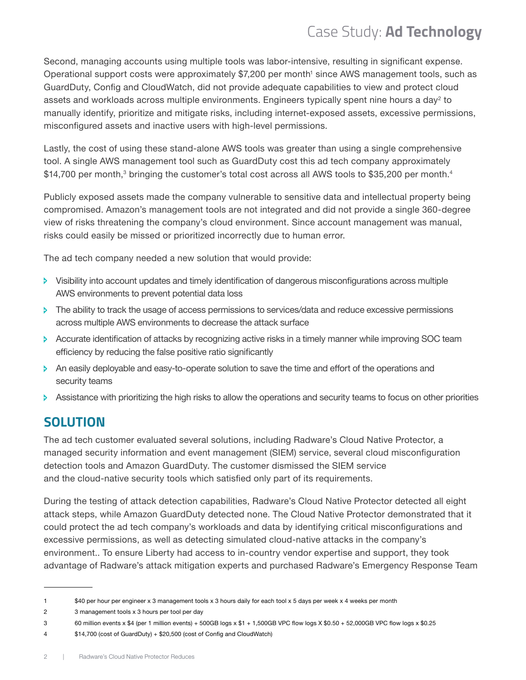## Case Study: **Ad Technology**

Second, managing accounts using multiple tools was labor-intensive, resulting in significant expense. Operational support costs were approximately \$7,200 per month<sup>1</sup> since AWS management tools, such as GuardDuty, Config and CloudWatch, did not provide adequate capabilities to view and protect cloud assets and workloads across multiple environments. Engineers typically spent nine hours a day $^{\scriptscriptstyle 2}$  to manually identify, prioritize and mitigate risks, including internet-exposed assets, excessive permissions, misconfigured assets and inactive users with high-level permissions.

Lastly, the cost of using these stand-alone AWS tools was greater than using a single comprehensive tool. A single AWS management tool such as GuardDuty cost this ad tech company approximately  $\$14,700$  per month, $^3$  bringing the customer's total cost across all AWS tools to  $\$35,200$  per month. $^4$ 

Publicly exposed assets made the company vulnerable to sensitive data and intellectual property being compromised. Amazon's management tools are not integrated and did not provide a single 360-degree view of risks threatening the company's cloud environment. Since account management was manual, risks could easily be missed or prioritized incorrectly due to human error.

The ad tech company needed a new solution that would provide:

- $\triangleright$  Visibility into account updates and timely identification of dangerous misconfigurations across multiple AWS environments to prevent potential data loss
- $\triangleright$  The ability to track the usage of access permissions to services/data and reduce excessive permissions across multiple AWS environments to decrease the attack surface
- Ð Accurate identification of attacks by recognizing active risks in a timely manner while improving SOC team efficiency by reducing the false positive ratio significantly
- $\triangleright$  An easily deployable and easy-to-operate solution to save the time and effort of the operations and security teams
- $\triangleright$  Assistance with prioritizing the high risks to allow the operations and security teams to focus on other priorities

### **SOLUTION**

The ad tech customer evaluated several solutions, including Radware's Cloud Native Protector, a managed security information and event management (SIEM) service, several cloud misconfiguration detection tools and Amazon GuardDuty. The customer dismissed the SIEM service and the cloud-native security tools which satisfied only part of its requirements.

During the testing of attack detection capabilities, Radware's Cloud Native Protector detected all eight attack steps, while Amazon GuardDuty detected none. The Cloud Native Protector demonstrated that it could protect the ad tech company's workloads and data by identifying critical misconfigurations and excessive permissions, as well as detecting simulated cloud-native attacks in the company's environment.. To ensure Liberty had access to in-country vendor expertise and support, they took advantage of Radware's attack mitigation experts and purchased Radware's Emergency Response Team

<sup>1</sup> \$40 per hour per engineer x 3 management tools x 3 hours daily for each tool x 5 days per week x 4 weeks per month

<sup>2</sup> 3 management tools x 3 hours per tool per day

<sup>3</sup> 60 million events x \$4 (per 1 million events) + 500GB logs x \$1 + 1,500GB VPC flow logs X \$0.50 + 52,000GB VPC flow logs x \$0.25

<sup>4</sup> \$14,700 (cost of GuardDuty) + \$20,500 (cost of Config and CloudWatch)